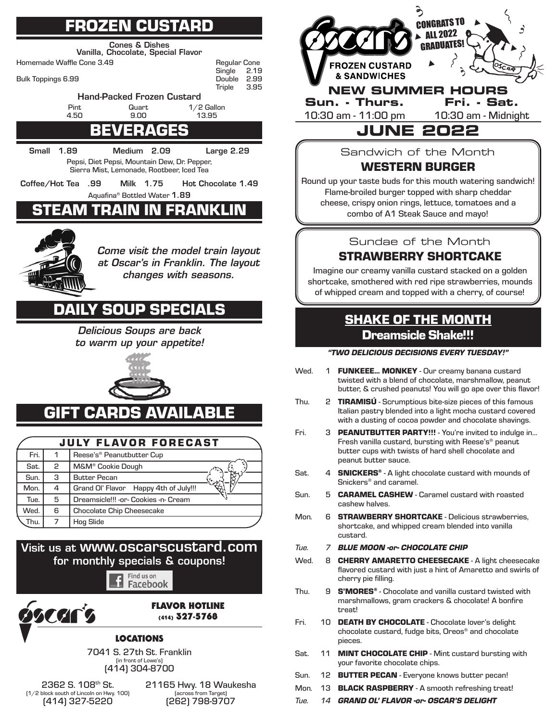# FROZEN CUSTARD

Cones & Dishes Vanilla, Chocolate, Special Flavor

Homemade Waffle Cone 3.49 **Regular Cone**<br>Single 2.19



## BEVERAGE

Small 1.89 Medium 2.09 Large 2.29 Pepsi, Diet Pepsi, Mountain Dew, Dr. Pepper, Sierra Mist, Lemonade, Rootbeer, Iced Tea

Coffee/Hot Tea .99 Milk 1.75 Hot Chocolate 1.49 Aquafina® Bottled Water 1.89

# AM TRAIN IN FRANKLIN



*Come visit the model train layout at Oscar's in Franklin. The layout changes with seasons.*

Single 2.19<br>Double 2.99

**Triple** 

## DAILY SOUP SPECIALS

*Delicious Soups are back to warm up your appetite!*



# GIFT CARDS AVAILABLE

|      |   | <b>JULY FLAVOR FORECAST</b>           |
|------|---|---------------------------------------|
| Fri. |   | Reese's <sup>®</sup> Peanutbutter Cup |
| Sat. | 2 | M&M <sup>®</sup> Cookie Dough         |
| Sun. | З | <b>Butter Pecan</b>                   |
| Mon. | 4 | Grand Ol' Flavor Happy 4th of July!!! |
| Tue. | 5 | Dreamsicle!!! -or- Cookies -n- Cream  |
| Wed. | 6 | <b>Chocolate Chip Cheesecake</b>      |
| Thu. | 7 | <b>Hog Slide</b>                      |

### Visit us at www.oscarscustard.com for monthly specials & coupons!

Find us on £ Facebook



#### FLAVOR HOTLINE (414) 327-5768

### LOCATIONS

7041 S. 27th St. Franklin (in front of Lowe's) (414) 304-8700

2362 S. 108th St. (1/2 block south of Lincoln on Hwy. 100) (414) 327-5220

21165 Hwy. 18 Waukesha (across from Target) (262) 798-9707



Sandwich of the Month WESTERN BURGER

Round up your taste buds for this mouth watering sandwich! Flame-broiled burger topped with sharp cheddar cheese, crispy onion rings, lettuce, tomatoes and a combo of A1 Steak Sauce and mayo!

Sundae of the Month

## STRAWBERRY SHORTCAKE

Imagine our creamy vanilla custard stacked on a golden shortcake, smothered with red ripe strawberries, mounds of whipped cream and topped with a cherry, of course!

## SHAKE OF THE MONTH Dreamsicle Shake!!!

#### *"TWO DELICIOUS DECISIONS EVERY TUESDAY!"*

- Wed. 1 FUNKEEE... MONKEY Our creamy banana custard twisted with a blend of chocolate, marshmallow, peanut butter, & crushed peanuts! You will go ape over this flavor!
- Thu. 2 TIRAMISÚ Scrumptious bite-size pieces of this famous Italian pastry blended into a light mocha custard covered with a dusting of cocoa powder and chocolate shavings.
- Fri. 3 PEANUTBUTTER PARTY!!! You're invited to indulge in... Fresh vanilla custard, bursting with Reese's<sup>®</sup> peanut butter cups with twists of hard shell chocolate and peanut butter sauce.
- Sat. 4 **SNICKERS®** A light chocolate custard with mounds of Snickers® and caramel.
- Sun. 5 CARAMEL CASHEW Caramel custard with roasted cashew halves.
- Mon. 6 **STRAWBERRY SHORTCAKE** Delicious strawberries, shortcake, and whipped cream blended into vanilla custard.
- *Tue. 7 BLUE MOON -or- CHOCOLATE CHIP*
- Wed. 8 CHERRY AMARETTO CHEESECAKE A light cheesecake flavored custard with just a hint of Amaretto and swirls of cherry pie filling.
- Thu.  $9$  S'MORES<sup>®</sup> Chocolate and vanilla custard twisted with marshmallows, gram crackers & chocolate! A bonfire treat!
- Fri. 10 DEATH BY CHOCOLATE Chocolate lover's delight chocolate custard, fudge bits, Oreos® and chocolate pieces.
- Sat. 11 MINT CHOCOLATE CHIP Mint custard bursting with your favorite chocolate chips.
- Sun. 12 BUTTER PECAN Everyone knows butter pecan!
- Mon. 13 **BLACK RASPBERRY** A smooth refreshing treat!
- *Tue. 14 GRAND OL' FLAVOR -or- OSCAR'S DELIGHT*